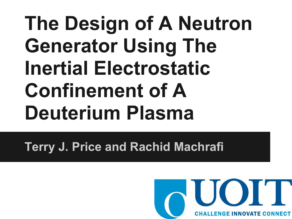## **The Design of A Neutron Generator Using The Inertial Electrostatic Confinement of A Deuterium Plasma**

**Terry J. Price and Rachid Machrafi**

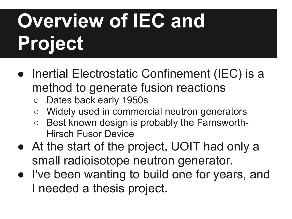# **Overview of IEC and Project**

- Inertial Electrostatic Confinement (IEC) is a method to generate fusion reactions
	- Dates back early 1950s
	- Widely used in commercial neutron generators
	- Best known design is probably the Farnsworth-Hirsch Fusor Device
- At the start of the project, UOIT had only a small radioisotope neutron generator.
- I've been wanting to build one for years, and I needed a thesis project.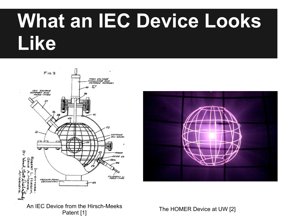### **What an IEC Device Looks Like**





Patent [1] Patent [1]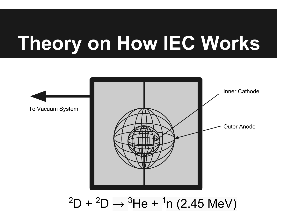## **Theory on How IEC Works**



#### $^2\textsf{D}$  +  $^2\textsf{D}$   $\rightarrow$   $^3\textsf{He}$  +  $^1\textsf{n}$  (2.45 MeV)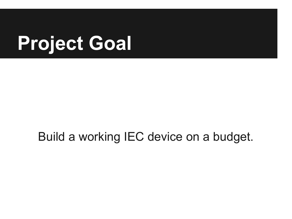## **Project Goal**

#### Build a working IEC device on a budget.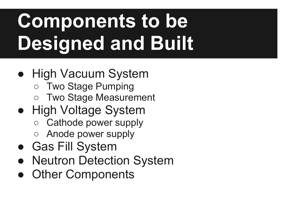# **Components to be Designed and Built**

- High Vacuum System
	- Two Stage Pumping
	- Two Stage Measurement
- High Voltage System
	- Cathode power supply
	- Anode power supply
- Gas Fill System
- Neutron Detection System
- Other Components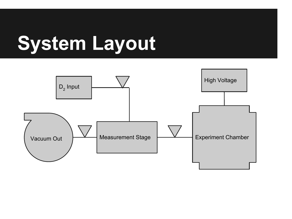## **System Layout**

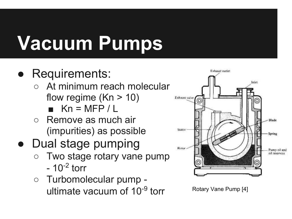# **Vacuum Pumps**

#### Requirements:

- At minimum reach molecular flow regime  $(Kn > 10)$  $\blacksquare$  Kn = MFP / L
- Remove as much air (impurities) as possible
- Dual stage pumping
	- Two stage rotary vane pump  $-10^{-2}$  torr
	- Turbomolecular pump ultimate vacuum of  $10^{-9}$  torr Rotary Vane Pump [4]

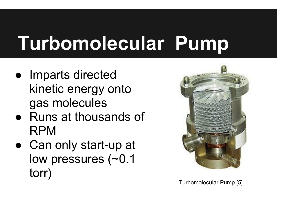# **Turbomolecular Pump**

- Imparts directed kinetic energy onto gas molecules
- Runs at thousands of RPM
- Can only start-up at low pressures (~0.1 torr)



Turbomolecular Pump [5]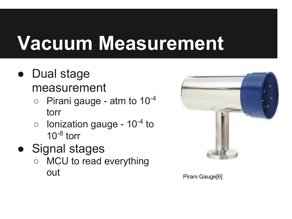## **Vacuum Measurement**

- Dual stage measurement
	- $\circ$  Pirani gauge atm to 10<sup>-4</sup> torr
	- $\circ$  lonization gauge 10<sup>-4</sup> to  $10^{-8}$  torr
- Signal stages
	- MCU to read everything out extending the pirani Gauge of Pirani Gauge (6)

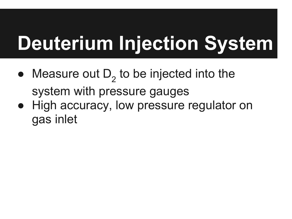# **Deuterium Injection System**

- Measure out  $D_2$  to be injected into the system with pressure gauges
- High accuracy, low pressure regulator on gas inlet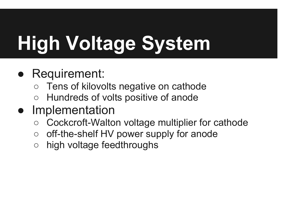# **High Voltage System**

#### • Requirement:

- Tens of kilovolts negative on cathode
- Hundreds of volts positive of anode
- Implementation
	- Cockcroft-Walton voltage multiplier for cathode
	- off-the-shelf HV power supply for anode
	- high voltage feedthroughs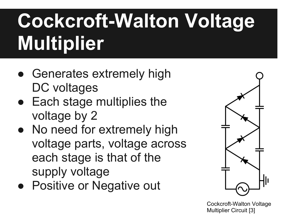# **Cockcroft-Walton Voltage Multiplier**

- Generates extremely high DC voltages
- Each stage multiplies the voltage by 2
- No need for extremely high voltage parts, voltage across each stage is that of the supply voltage
- Positive or Negative out



Cockcroft-Walton Voltage Multiplier Circuit [3]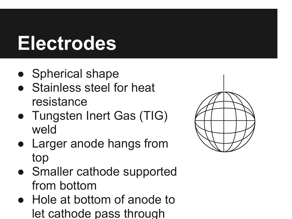## **Electrodes**

- Spherical shape
- Stainless steel for heat resistance
- Tungsten Inert Gas (TIG) weld
- Larger anode hangs from top
- Smaller cathode supported from bottom
- Hole at bottom of anode to let cathode pass through

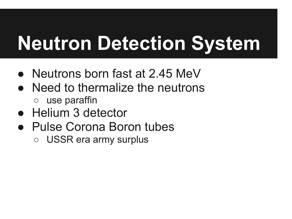## **Neutron Detection System**

- Neutrons born fast at 2.45 MeV
- Need to thermalize the neutrons ○ use paraffin
- Helium 3 detector
- **Pulse Corona Boron tubes** 
	- USSR era army surplus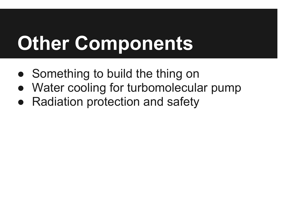## **Other Components**

- Something to build the thing on
- Water cooling for turbomolecular pump
- Radiation protection and safety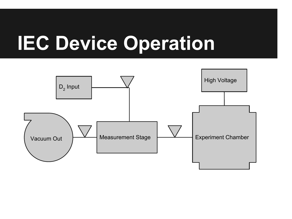## **IEC Device Operation**

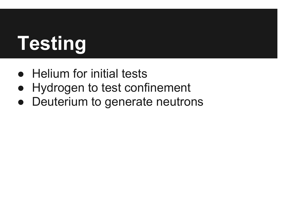# **Testing**

- Helium for initial tests
- Hydrogen to test confinement
- Deuterium to generate neutrons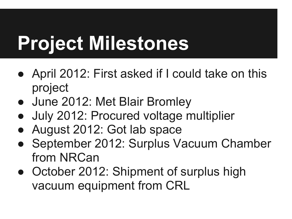# **Project Milestones**

- April 2012: First asked if I could take on this project
- June 2012: Met Blair Bromley
- July 2012: Procured voltage multiplier
- August 2012: Got lab space
- September 2012: Surplus Vacuum Chamber from NRCan
- October 2012: Shipment of surplus high vacuum equipment from CRL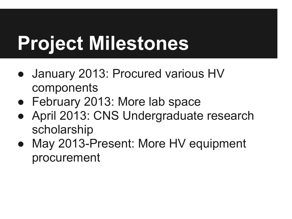# **Project Milestones**

- January 2013: Procured various HV components
- February 2013: More lab space
- April 2013: CNS Undergraduate research scholarship
- May 2013-Present: More HV equipment procurement